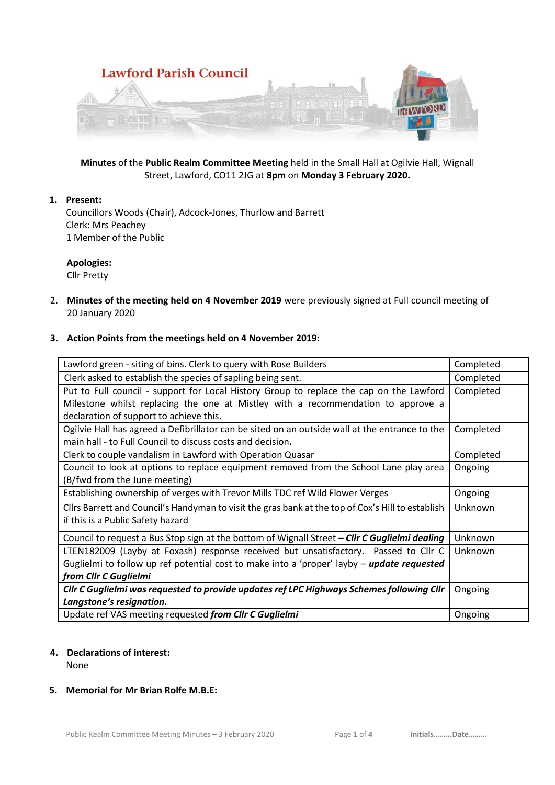

**Minutes** of the **Public Realm Committee Meeting** held in the Small Hall at Ogilvie Hall, Wignall Street, Lawford, CO11 2JG at **8pm** on **Monday 3 February 2020.**

# **1. Present:**

Councillors Woods (Chair), Adcock-Jones, Thurlow and Barrett Clerk: Mrs Peachey 1 Member of the Public

# **Apologies:**

Cllr Pretty

2. **Minutes of the meeting held on 4 November 2019** were previously signed at Full council meeting of 20 January 2020

#### **3. Action Points from the meetings held on 4 November 2019:**

| Lawford green - siting of bins. Clerk to query with Rose Builders                                 | Completed |
|---------------------------------------------------------------------------------------------------|-----------|
| Clerk asked to establish the species of sapling being sent.                                       | Completed |
| Put to Full council - support for Local History Group to replace the cap on the Lawford           | Completed |
| Milestone whilst replacing the one at Mistley with a recommendation to approve a                  |           |
| declaration of support to achieve this.                                                           |           |
| Ogilvie Hall has agreed a Defibrillator can be sited on an outside wall at the entrance to the    | Completed |
| main hall - to Full Council to discuss costs and decision.                                        |           |
| Clerk to couple vandalism in Lawford with Operation Quasar                                        | Completed |
| Council to look at options to replace equipment removed from the School Lane play area            | Ongoing   |
| (B/fwd from the June meeting)                                                                     |           |
| Establishing ownership of verges with Trevor Mills TDC ref Wild Flower Verges                     | Ongoing   |
| Cllrs Barrett and Council's Handyman to visit the gras bank at the top of Cox's Hill to establish | Unknown   |
| if this is a Public Safety hazard                                                                 |           |
|                                                                                                   |           |
| Council to request a Bus Stop sign at the bottom of Wignall Street - Clir C Guglielmi dealing     | Unknown   |
| LTEN182009 (Layby at Foxash) response received but unsatisfactory. Passed to Cllr C               | Unknown   |
| Guglielmi to follow up ref potential cost to make into a 'proper' layby - update requested        |           |
| from Cllr C Guglielmi                                                                             |           |
| Cllr C Guglielmi was requested to provide updates ref LPC Highways Schemes following Cllr         | Ongoing   |
| Langstone's resignation.                                                                          |           |

### **4. Declarations of interest:**

None

### **5. Memorial for Mr Brian Rolfe M.B.E:**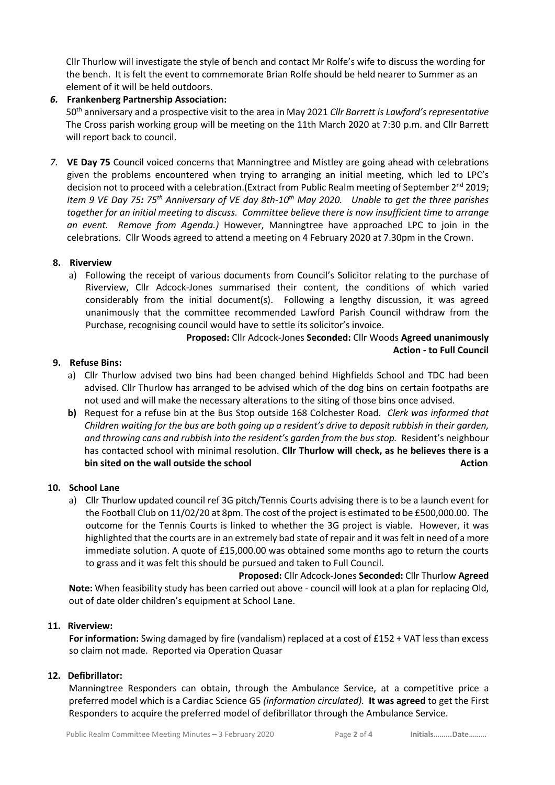Cllr Thurlow will investigate the style of bench and contact Mr Rolfe's wife to discuss the wording for the bench. It is felt the event to commemorate Brian Rolfe should be held nearer to Summer as an element of it will be held outdoors.

### *6.* **Frankenberg Partnership Association:**

50th anniversary and a prospective visit to the area in May 2021 *Cllr Barrett is Lawford's representative*  The Cross parish working group will be meeting on the 11th March 2020 at 7:30 p.m. and Cllr Barrett will report back to council.

*7.* **VE Day 75** Council voiced concerns that Manningtree and Mistley are going ahead with celebrations given the problems encountered when trying to arranging an initial meeting, which led to LPC's decision not to proceed with a celebration. (Extract from Public Realm meeting of September  $2^{nd}$  2019; *Item 9 VE Day 75: 75th Anniversary of VE day 8th-10th May 2020. Unable to get the three parishes together for an initial meeting to discuss. Committee believe there is now insufficient time to arrange an event. Remove from Agenda.)* However, Manningtree have approached LPC to join in the celebrations. Cllr Woods agreed to attend a meeting on 4 February 2020 at 7.30pm in the Crown.

### **8. Riverview**

a) Following the receipt of various documents from Council's Solicitor relating to the purchase of Riverview, Cllr Adcock-Jones summarised their content, the conditions of which varied considerably from the initial document(s). Following a lengthy discussion, it was agreed unanimously that the committee recommended Lawford Parish Council withdraw from the Purchase, recognising council would have to settle its solicitor's invoice.

> **Proposed:** Cllr Adcock-Jones **Seconded:** Cllr Woods **Agreed unanimously Action - to Full Council**

### **9. Refuse Bins:**

- a) Cllr Thurlow advised two bins had been changed behind Highfields School and TDC had been advised. Cllr Thurlow has arranged to be advised which of the dog bins on certain footpaths are not used and will make the necessary alterations to the siting of those bins once advised.
- **b)** Request for a refuse bin at the Bus Stop outside 168 Colchester Road. *Clerk was informed that Children waiting for the bus are both going up a resident's drive to deposit rubbish in their garden, and throwing cans and rubbish into the resident's garden from the bus stop.* Resident's neighbour has contacted school with minimal resolution. **Cllr Thurlow will check, as he believes there is a bin sited on the wall outside the school action** and a structure of the school and a structure of the school and  $\alpha$

### **10. School Lane**

a) Cllr Thurlow updated council ref 3G pitch/Tennis Courts advising there is to be a launch event for the Football Club on 11/02/20 at 8pm. The cost of the project is estimated to be £500,000.00. The outcome for the Tennis Courts is linked to whether the 3G project is viable. However, it was highlighted that the courts are in an extremely bad state of repair and it was felt in need of a more immediate solution. A quote of £15,000.00 was obtained some months ago to return the courts to grass and it was felt this should be pursued and taken to Full Council.

 **Proposed:** Cllr Adcock-Jones **Seconded:** Cllr Thurlow **Agreed Note:** When feasibility study has been carried out above - council will look at a plan for replacing Old, out of date older children's equipment at School Lane.

#### **11. Riverview:**

 **For information:** Swing damaged by fire (vandalism) replaced at a cost of £152 + VAT less than excess so claim not made. Reported via Operation Quasar

#### **12. Defibrillator:**

Manningtree Responders can obtain, through the Ambulance Service, at a competitive price a preferred model which is a Cardiac Science G5 *(information circulated).* **It was agreed** to get the First Responders to acquire the preferred model of defibrillator through the Ambulance Service.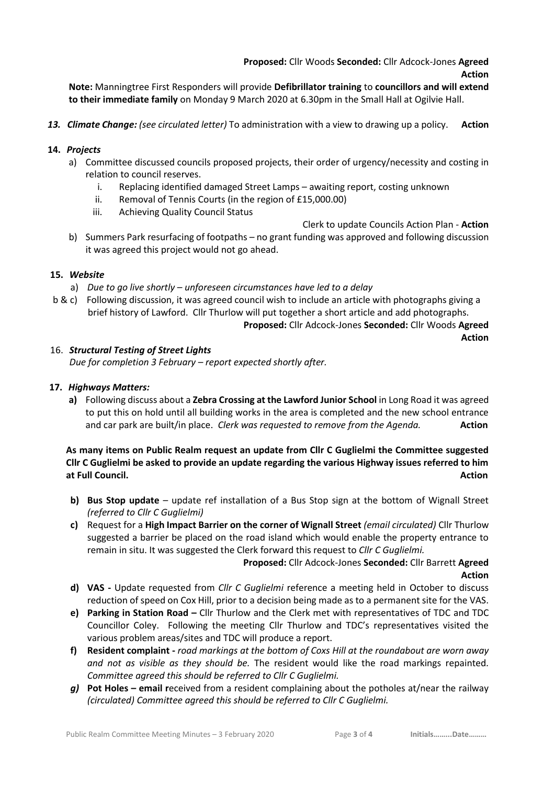**Note:** Manningtree First Responders will provide **Defibrillator training** to **councillors and will extend to their immediate family** on Monday 9 March 2020 at 6.30pm in the Small Hall at Ogilvie Hall.

*13. Climate Change: (see circulated letter)* To administration with a view to drawing up a policy. **Action**

## **14.** *Projects*

- a) Committee discussed councils proposed projects, their order of urgency/necessity and costing in relation to council reserves.
	- i. Replacing identified damaged Street Lamps awaiting report, costing unknown
	- ii. Removal of Tennis Courts (in the region of £15,000.00)
	- iii. Achieving Quality Council Status

Clerk to update Councils Action Plan - **Action**

b) Summers Park resurfacing of footpaths – no grant funding was approved and following discussion it was agreed this project would not go ahead.

## **15.** *Website*

- a) *Due to go live shortly – unforeseen circumstances have led to a delay*
- b & c) Following discussion, it was agreed council wish to include an article with photographs giving a brief history of Lawford. Cllr Thurlow will put together a short article and add photographs.

**Proposed:** Cllr Adcock-Jones **Seconded:** Cllr Woods **Agreed Action**

## 16. *Structural Testing of Street Lights*

*Due for completion 3 February – report expected shortly after.*

# **17.** *Highways Matters:*

**a)** Following discuss about a **Zebra Crossing at the Lawford Junior School** in Long Road it was agreed to put this on hold until all building works in the area is completed and the new school entrance and car park are built/in place. *Clerk was requested to remove from the Agenda.* **Action**

# **As many items on Public Realm request an update from Cllr C Guglielmi the Committee suggested Cllr C Guglielmi be asked to provide an update regarding the various Highway issues referred to him at Full Council. Action**

- **b) Bus Stop update** update ref installation of a Bus Stop sign at the bottom of Wignall Street *(referred to Cllr C Guglielmi)*
- **c)** Request for a **High Impact Barrier on the corner of Wignall Street** *(email circulated)* Cllr Thurlow suggested a barrier be placed on the road island which would enable the property entrance to remain in situ. It was suggested the Clerk forward this request to *Cllr C Guglielmi.*

# **Proposed:** Cllr Adcock-Jones **Seconded:** Cllr Barrett **Agreed Action**

- **d) VAS -** Update requested from *Cllr C Guglielmi* reference a meeting held in October to discuss reduction of speed on Cox Hill, prior to a decision being made as to a permanent site for the VAS.
- **e) Parking in Station Road –** Cllr Thurlow and the Clerk met with representatives of TDC and TDC Councillor Coley. Following the meeting Cllr Thurlow and TDC's representatives visited the various problem areas/sites and TDC will produce a report.
- **f) Resident complaint -** *road markings at the bottom of Coxs Hill at the roundabout are worn away and not as visible as they should be.* The resident would like the road markings repainted*. Committee agreed this should be referred to Cllr C Guglielmi.*
- *g)* **Pot Holes – email r**eceived from a resident complaining about the potholes at/near the railway *(circulated) Committee agreed this should be referred to Cllr C Guglielmi.*